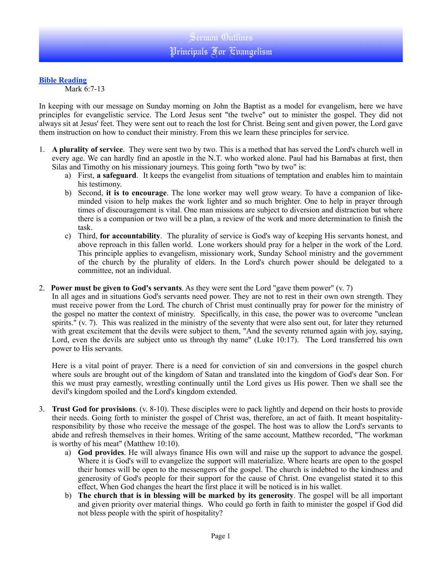## **Bible Reading**

Mark 6:7-13

In keeping with our message on Sunday morning on John the Baptist as a model for evangelism, here we have principles for evangelistic service. The Lord Jesus sent "the twelve" out to minister the gospel. They did not always sit at Jesus' feet. They were sent out to reach the lost for Christ. Being sent and given power, the Lord gave them instruction on how to conduct their ministry. From this we learn these principles for service.

- 1. **A plurality of service**. They were sent two by two. This is a method that has served the Lord's church well in every age. We can hardly find an apostle in the N.T. who worked alone. Paul had his Barnabas at first, then Silas and Timothy on his missionary journeys. This going forth "two by two" is:
	- a) First, **a safeguard**. It keeps the evangelist from situations of temptation and enables him to maintain his testimony.
	- b) Second, **it is to encourage**. The lone worker may well grow weary. To have a companion of likeminded vision to help makes the work lighter and so much brighter. One to help in prayer through times of discouragement is vital. One man missions are subject to diversion and distraction but where there is a companion or two will be a plan, a review of the work and more determination to finish the task.
	- c) Third, **for accountability**. The plurality of service is God's way of keeping His servants honest, and above reproach in this fallen world. Lone workers should pray for a helper in the work of the Lord. This principle applies to evangelism, missionary work, Sunday School ministry and the government of the church by the plurality of elders. In the Lord's church power should be delegated to a committee, not an individual.
- 2. **Power must be given to God's servants**. As they were sent the Lord "gave them power" (v. 7)

In all ages and in situations God's servants need power. They are not to rest in their own own strength. They must receive power from the Lord. The church of Christ must continually pray for power for the ministry of the gospel no matter the context of ministry. Specifically, in this case, the power was to overcome "unclean spirits." (v. 7). This was realized in the ministry of the seventy that were also sent out, for later they returned with great excitement that the devils were subject to them, "And the seventy returned again with joy, saying, Lord, even the devils are subject unto us through thy name" (Luke 10:17). The Lord transferred his own power to His servants.

Here is a vital point of prayer. There is a need for conviction of sin and conversions in the gospel church where souls are brought out of the kingdom of Satan and translated into the kingdom of God's dear Son. For this we must pray earnestly, wrestling continually until the Lord gives us His power. Then we shall see the devil's kingdom spoiled and the Lord's kingdom extended.

- 3. **Trust God for provisions**. (v. 8-10). These disciples were to pack lightly and depend on their hosts to provide their needs. Going forth to minister the gospel of Christ was, therefore, an act of faith. It meant hospitalityresponsibility by those who receive the message of the gospel. The host was to allow the Lord's servants to abide and refresh themselves in their homes. Writing of the same account, Matthew recorded, "The workman is worthy of his meat" (Matthew 10:10).
	- a) **God provides**. He will always finance His own will and raise up the support to advance the gospel. Where it is God's will to evangelize the support will materialize. Where hearts are open to the gospel their homes will be open to the messengers of the gospel. The church is indebted to the kindness and generosity of God's people for their support for the cause of Christ. One evangelist stated it to this effect, When God changes the heart the first place it will be noticed is in his wallet.
	- b) **The church that is in blessing will be marked by its generosity**. The gospel will be all important and given priority over material things. Who could go forth in faith to minister the gospel if God did not bless people with the spirit of hospitality?